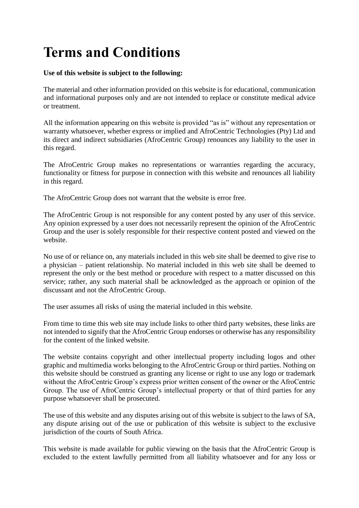## **Terms and Conditions**

## **Use of this website is subject to the following:**

The material and other information provided on this website is for educational, communication and informational purposes only and are not intended to replace or constitute medical advice or treatment.

All the information appearing on this website is provided "as is" without any representation or warranty whatsoever, whether express or implied and AfroCentric Technologies (Pty) Ltd and its direct and indirect subsidiaries (AfroCentric Group) renounces any liability to the user in this regard.

The AfroCentric Group makes no representations or warranties regarding the accuracy, functionality or fitness for purpose in connection with this website and renounces all liability in this regard.

The AfroCentric Group does not warrant that the website is error free.

The AfroCentric Group is not responsible for any content posted by any user of this service. Any opinion expressed by a user does not necessarily represent the opinion of the AfroCentric Group and the user is solely responsible for their respective content posted and viewed on the website.

No use of or reliance on, any materials included in this web site shall be deemed to give rise to a physician – patient relationship. No material included in this web site shall be deemed to represent the only or the best method or procedure with respect to a matter discussed on this service; rather, any such material shall be acknowledged as the approach or opinion of the discussant and not the AfroCentric Group.

The user assumes all risks of using the material included in this website.

From time to time this web site may include links to other third party websites, these links are not intended to signify that the AfroCentric Group endorses or otherwise has any responsibility for the content of the linked website.

The website contains copyright and other intellectual property including logos and other graphic and multimedia works belonging to the AfroCentric Group or third parties. Nothing on this website should be construed as granting any license or right to use any logo or trademark without the AfroCentric Group's express prior written consent of the owner or the AfroCentric Group. The use of AfroCentric Group's intellectual property or that of third parties for any purpose whatsoever shall be prosecuted.

The use of this website and any disputes arising out of this website is subject to the laws of SA, any dispute arising out of the use or publication of this website is subject to the exclusive jurisdiction of the courts of South Africa.

This website is made available for public viewing on the basis that the AfroCentric Group is excluded to the extent lawfully permitted from all liability whatsoever and for any loss or